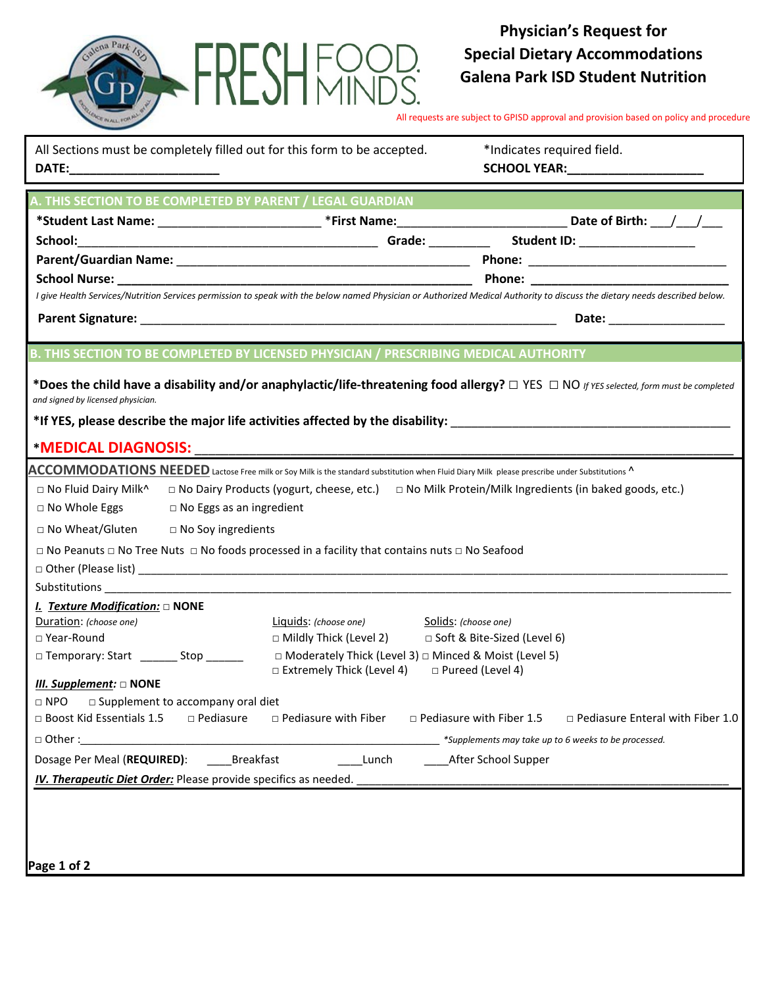

## **Physician's Request for Special Dietary Accommodations Galena Park ISD Student Nutrition**

All requests are subject to GPISD approval and provision based on policy and procedure

|                                                  | All Sections must be completely filled out for this form to be accepted.                                           |                                                                                 |                                 | *Indicates required field.<br>SCHOOL YEAR:_______________________                                                                                                          |  |
|--------------------------------------------------|--------------------------------------------------------------------------------------------------------------------|---------------------------------------------------------------------------------|---------------------------------|----------------------------------------------------------------------------------------------------------------------------------------------------------------------------|--|
|                                                  | A. THIS SECTION TO BE COMPLETED BY PARENT / LEGAL GUARDIAN                                                         |                                                                                 |                                 |                                                                                                                                                                            |  |
|                                                  |                                                                                                                    |                                                                                 |                                 | *Student Last Name: _________________________________*First Name: ________________________________Date of Birth: ___/___/____                                              |  |
| School:                                          |                                                                                                                    |                                                                                 |                                 |                                                                                                                                                                            |  |
|                                                  |                                                                                                                    |                                                                                 |                                 |                                                                                                                                                                            |  |
|                                                  |                                                                                                                    |                                                                                 |                                 |                                                                                                                                                                            |  |
|                                                  |                                                                                                                    |                                                                                 |                                 | I give Health Services/Nutrition Services permission to speak with the below named Physician or Authorized Medical Authority to discuss the dietary needs described below. |  |
|                                                  |                                                                                                                    |                                                                                 |                                 | Date: ________________                                                                                                                                                     |  |
|                                                  | B. THIS SECTION TO BE COMPLETED BY LICENSED PHYSICIAN / PRESCRIBING MEDICAL AUTHORITY                              |                                                                                 |                                 |                                                                                                                                                                            |  |
| and signed by licensed physician.                |                                                                                                                    |                                                                                 |                                 | *Does the child have a disability and/or anaphylactic/life-threatening food allergy? $\Box$ YES $\Box$ NO if YES selected, form must be completed                          |  |
|                                                  |                                                                                                                    |                                                                                 |                                 | ${\bf ACCOMMODATIONS}$ NEEDED Lactose Free milk or Soy Milk is the standard substitution when Fluid Diary Milk please prescribe under Substitutions ^                      |  |
| $\Box$ No Fluid Dairy Milk^                      |                                                                                                                    |                                                                                 |                                 | $\Box$ No Dairy Products (yogurt, cheese, etc.) $\Box$ No Milk Protein/Milk Ingredients (in baked goods, etc.)                                                             |  |
| □ No Whole Eggs                                  | $\Box$ No Eggs as an ingredient                                                                                    |                                                                                 |                                 |                                                                                                                                                                            |  |
| $\Box$ No Wheat/Gluten $\Box$ No Soy ingredients |                                                                                                                    |                                                                                 |                                 |                                                                                                                                                                            |  |
|                                                  | $\Box$ No Peanuts $\Box$ No Tree Nuts $\Box$ No foods processed in a facility that contains nuts $\Box$ No Seafood |                                                                                 |                                 |                                                                                                                                                                            |  |
|                                                  |                                                                                                                    |                                                                                 |                                 |                                                                                                                                                                            |  |
|                                                  |                                                                                                                    |                                                                                 |                                 |                                                                                                                                                                            |  |
| <i>I. Texture Modification:</i> $\Box$ NONE      |                                                                                                                    |                                                                                 |                                 |                                                                                                                                                                            |  |
| Duration: (choose one)<br>□ Year-Round           |                                                                                                                    | Liquids: (choose one)<br>□ Mildly Thick (Level 2) □ Soft & Bite-Sized (Level 6) | Solids: (choose one)            |                                                                                                                                                                            |  |
| □ Temporary: Start ________ Stop ______          |                                                                                                                    | □ Moderately Thick (Level 3) □ Minced & Moist (Level 5)                         |                                 |                                                                                                                                                                            |  |
| III. Supplement: $\square$ NONE                  |                                                                                                                    | □ Extremely Thick (Level 4)                                                     | $\Box$ Pureed (Level 4)         |                                                                                                                                                                            |  |
| $\Box$ NPO                                       | □ Supplement to accompany oral diet                                                                                |                                                                                 |                                 |                                                                                                                                                                            |  |
| □ Boost Kid Essentials 1.5                       | □ Pediasure                                                                                                        | □ Pediasure with Fiber                                                          | $\Box$ Pediasure with Fiber 1.5 | $\Box$ Pediasure Enteral with Fiber 1.0                                                                                                                                    |  |
|                                                  | $\Box$ Other: $\Box$                                                                                               |                                                                                 |                                 | *Supplements may take up to 6 weeks to be processed.                                                                                                                       |  |
| Dosage Per Meal (REQUIRED):                      | Breakfast                                                                                                          | Lunch                                                                           |                                 | ______ After School Supper                                                                                                                                                 |  |
|                                                  |                                                                                                                    |                                                                                 |                                 |                                                                                                                                                                            |  |
|                                                  |                                                                                                                    |                                                                                 |                                 |                                                                                                                                                                            |  |
|                                                  |                                                                                                                    |                                                                                 |                                 |                                                                                                                                                                            |  |
|                                                  |                                                                                                                    |                                                                                 |                                 |                                                                                                                                                                            |  |
| Page 1 of 2                                      |                                                                                                                    |                                                                                 |                                 |                                                                                                                                                                            |  |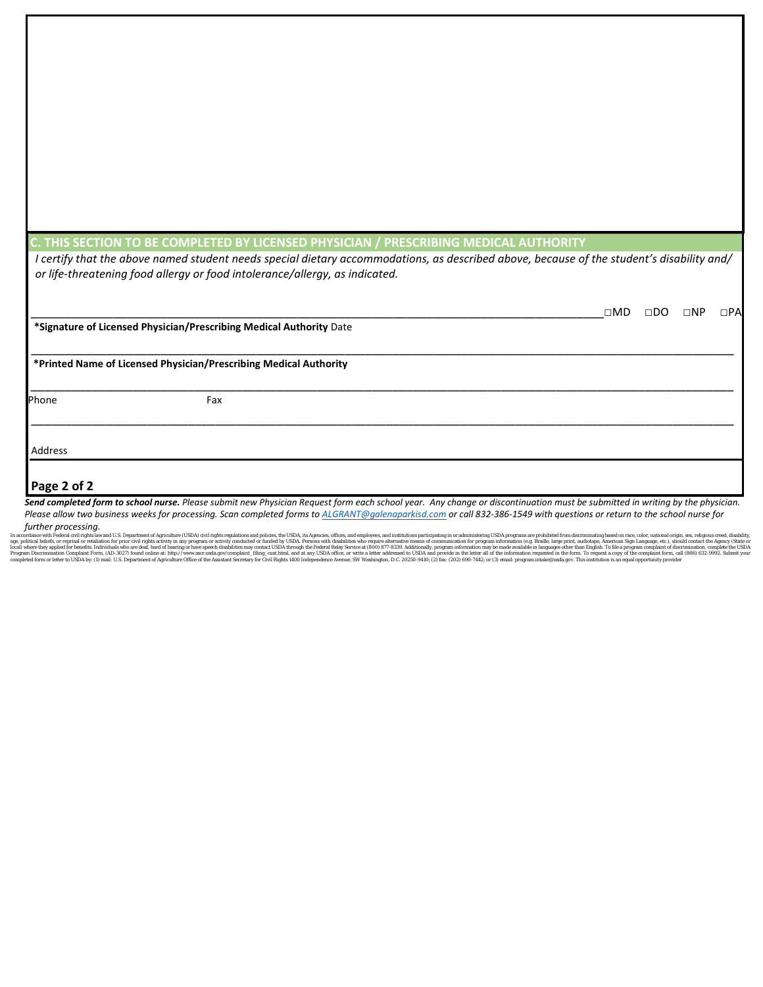## **C. THIS SECTION TO BE COMPLETED BY LICENSED PHYSICIAN / PRESCRIBING MEDICAL AUTHORITY**

*I certify that the above named student needs special dietary accommodations, as described above, because of the student's disability and/ or life-threatening food allergy or food intolerance/allergy, as indicated.* 

|             |                                                                     | $\square \mathsf{MD}$ | $\square$ DO | $\square NP$ | $\Box$ PA |
|-------------|---------------------------------------------------------------------|-----------------------|--------------|--------------|-----------|
|             | *Signature of Licensed Physician/Prescribing Medical Authority Date |                       |              |              |           |
|             | *Printed Name of Licensed Physician/Prescribing Medical Authority   |                       |              |              |           |
| Phone       | Fax                                                                 |                       |              |              |           |
| Address     |                                                                     |                       |              |              |           |
| Page 2 of 2 |                                                                     |                       |              |              |           |

*Send completed form to school nurse. Please submit new Physician Request form each school year. Any change or discontinuation must be submitted in writing by the physician. Please allow two business weeks for processing. Scan completed forms to [ALGRANT@galenaparkisd.com](mailto:ALGRANT@galenaparkisd.com) or call 832-386-1549 with questions or return to the school nurse for* 

*further processing.*

In accordance with Federal clusterial or repriment of Aprical comparison enterstitly in any program or activity onducted or funderly conducted or funderly contacted include by USDA. Persons with disabilities who require al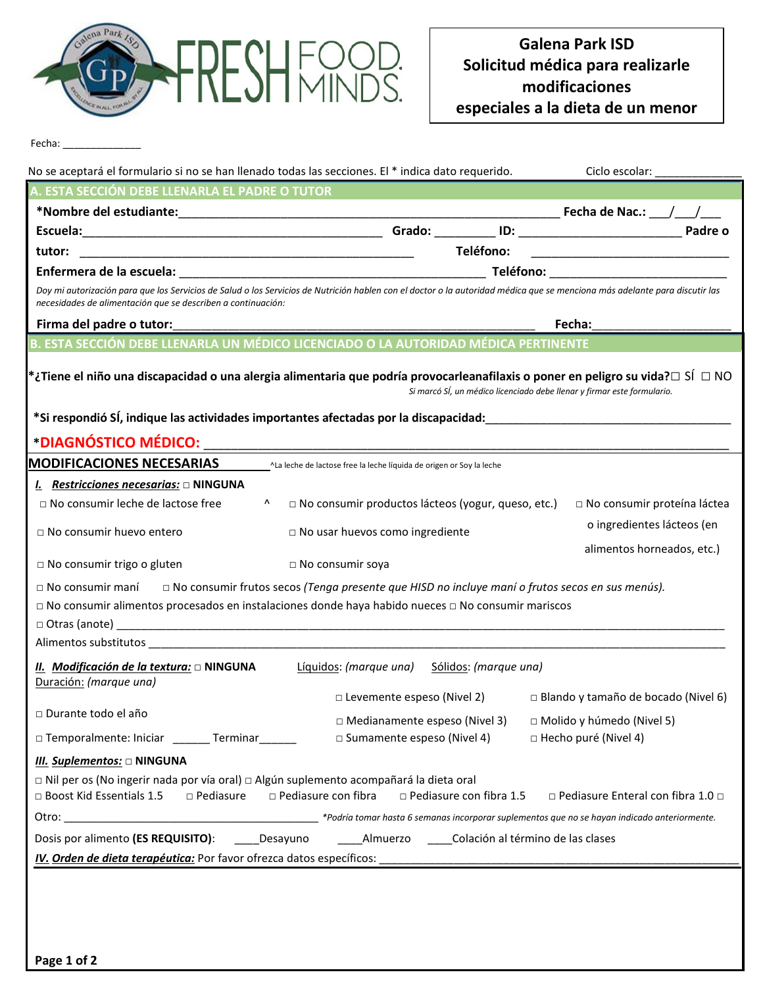

Fecha: \_\_\_\_

| No se aceptará el formulario si no se han llenado todas las secciones. El * indica dato requerido.                                                                                                                                         |                                                                       | Ciclo escolar:                                                               |  |  |
|--------------------------------------------------------------------------------------------------------------------------------------------------------------------------------------------------------------------------------------------|-----------------------------------------------------------------------|------------------------------------------------------------------------------|--|--|
| A. ESTA SECCIÓN DEBE LLENARLA EL PADRE O TUTOR                                                                                                                                                                                             |                                                                       |                                                                              |  |  |
|                                                                                                                                                                                                                                            |                                                                       |                                                                              |  |  |
|                                                                                                                                                                                                                                            |                                                                       |                                                                              |  |  |
| tutor:                                                                                                                                                                                                                                     | Teléfono:                                                             |                                                                              |  |  |
|                                                                                                                                                                                                                                            |                                                                       |                                                                              |  |  |
| Doy mi autorización para que los Servicios de Salud o los Servicios de Nutrición hablen con el doctor o la autoridad médica que se menciona más adelante para discutir las<br>necesidades de alimentación que se describen a continuación: |                                                                       |                                                                              |  |  |
|                                                                                                                                                                                                                                            | Fecha:                                                                |                                                                              |  |  |
| B. ESTA SECCIÓN DEBE LLENARLA UN MÉDICO LICENCIADO O LA AUTORIDAD MÉDICA PERTINENTE                                                                                                                                                        |                                                                       |                                                                              |  |  |
| $^*$ ¿Tiene el niño una discapacidad o una alergia alimentaria que podría provocarleanafilaxis o poner en peligro su vida? $\Box$ SÍ $\Box$ NO                                                                                             |                                                                       | Si marcó SÍ, un médico licenciado debe llenar y firmar este formulario.      |  |  |
|                                                                                                                                                                                                                                            |                                                                       |                                                                              |  |  |
| <b>MODIFICACIONES NECESARIAS</b>                                                                                                                                                                                                           | ^La leche de lactose free la leche líquida de origen or Soy la leche  |                                                                              |  |  |
| I. Restricciones necesarias: ONINGUNA                                                                                                                                                                                                      |                                                                       |                                                                              |  |  |
| $\Box$ No consumir leche de lactose free<br>$\mathbf{A}$                                                                                                                                                                                   | □ No consumir productos lácteos (yogur, queso, etc.)                  | □ No consumir proteína láctea                                                |  |  |
| $\Box$ No consumir huevo entero                                                                                                                                                                                                            | □ No usar huevos como ingrediente                                     | o ingredientes lácteos (en                                                   |  |  |
| $\Box$ No consumir trigo o gluten                                                                                                                                                                                                          | □ No consumir soya                                                    | alimentos horneados, etc.)                                                   |  |  |
| □ No consumir maní □ No consumir frutos secos (Tenga presente que HISD no incluye maní o frutos secos en sus menús).<br>□ No consumir alimentos procesados en instalaciones donde haya habido nueces □ No consumir mariscos                |                                                                       |                                                                              |  |  |
|                                                                                                                                                                                                                                            |                                                                       |                                                                              |  |  |
| Alimentos substitutos en el proporciones de la constitución de la constitución de la constitución de la constitución                                                                                                                       |                                                                       |                                                                              |  |  |
| II. Modificación de la textura: □ NINGUNA<br>Duración: (marque una)                                                                                                                                                                        | Líquidos: (marque una) Sólidos: (marque una)                          |                                                                              |  |  |
| □ Durante todo el año                                                                                                                                                                                                                      |                                                                       | $\Box$ Levemente espeso (Nivel 2) $\Box$ Blando y tamaño de bocado (Nivel 6) |  |  |
|                                                                                                                                                                                                                                            | $\Box$ Medianamente espeso (Nivel 3) $\Box$ Molido y húmedo (Nivel 5) |                                                                              |  |  |
| □ Temporalmente: Iniciar ________ Terminar _______                                                                                                                                                                                         | □ Sumamente espeso (Nivel 4)                                          | $\Box$ Hecho puré (Nivel 4)                                                  |  |  |
| III. Suplementos: O NINGUNA                                                                                                                                                                                                                |                                                                       |                                                                              |  |  |
| □ Nil per os (No ingerir nada por vía oral) □ Algún suplemento acompañará la dieta oral<br>□ Boost Kid Essentials 1.5<br>$\Box$ Pediasure $\Box$ Pediasure con fibra                                                                       | $\Box$ Pediasure con fibra 1.5                                        | $\Box$ Pediasure Enteral con fibra 1.0 $\Box$                                |  |  |
|                                                                                                                                                                                                                                            |                                                                       |                                                                              |  |  |
| Dosis por alimento (ES REQUISITO): ______Desayuno ______________Almuerzo _______Colación al término de las clases                                                                                                                          |                                                                       |                                                                              |  |  |
|                                                                                                                                                                                                                                            |                                                                       |                                                                              |  |  |
|                                                                                                                                                                                                                                            |                                                                       |                                                                              |  |  |
|                                                                                                                                                                                                                                            |                                                                       |                                                                              |  |  |
|                                                                                                                                                                                                                                            |                                                                       |                                                                              |  |  |
|                                                                                                                                                                                                                                            |                                                                       |                                                                              |  |  |
| Page 1 of 2                                                                                                                                                                                                                                |                                                                       |                                                                              |  |  |